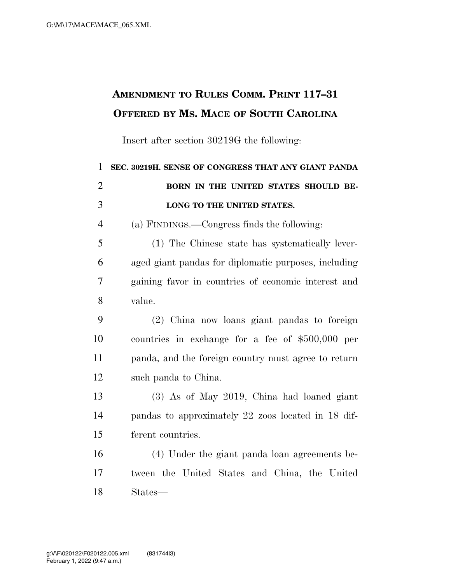## **AMENDMENT TO RULES COMM. PRINT 117–31 OFFERED BY MS. MACE OF SOUTH CAROLINA**

Insert after section 30219G the following:

| 1              | SEC. 30219H. SENSE OF CONGRESS THAT ANY GIANT PANDA  |
|----------------|------------------------------------------------------|
| $\overline{2}$ | BORN IN THE UNITED STATES SHOULD BE-                 |
| 3              | LONG TO THE UNITED STATES.                           |
| $\overline{4}$ | (a) FINDINGS.—Congress finds the following:          |
| 5              | (1) The Chinese state has systematically lever-      |
| 6              | aged giant pandas for diplomatic purposes, including |
| $\overline{7}$ | gaining favor in countries of economic interest and  |
| 8              | value.                                               |
| 9              | (2) China now loans giant pandas to foreign          |
| 10             | countries in exchange for a fee of $$500,000$ per    |
| 11             | panda, and the foreign country must agree to return  |
| 12             | such panda to China.                                 |
| 13             | (3) As of May 2019, China had loaned giant           |
| 14             | pandas to approximately 22 zoos located in 18 dif-   |
| 15             | ferent countries.                                    |
| 16             | (4) Under the giant panda loan agreements be-        |
| 17             | tween the United States and China, the United        |
| 18             | States—                                              |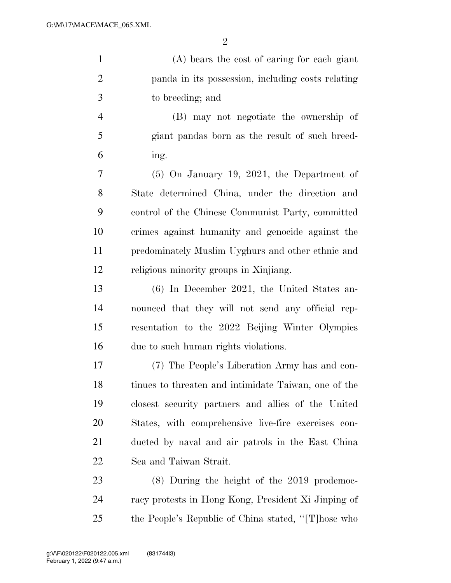| $\mathbf{1}$   | (A) bears the cost of caring for each giant          |
|----------------|------------------------------------------------------|
| $\overline{2}$ | panda in its possession, including costs relating    |
| 3              | to breeding; and                                     |
| $\overline{4}$ | (B) may not negotiate the ownership of               |
| 5              | giant pandas born as the result of such breed-       |
| 6              | ing.                                                 |
| 7              | $(5)$ On January 19, 2021, the Department of         |
| 8              | State determined China, under the direction and      |
| 9              | control of the Chinese Communist Party, committed    |
| 10             | crimes against humanity and genocide against the     |
| 11             | predominately Muslim Uyghurs and other ethnic and    |
| 12             | religious minority groups in Xinjiang.               |
| 13             | $(6)$ In December 2021, the United States an-        |
| 14             | nounced that they will not send any official rep-    |
| 15             | resentation to the 2022 Beijing Winter Olympics      |
| 16             | due to such human rights violations.                 |
| 17             | (7) The People's Liberation Army has and con-        |
| 18             | tinues to threaten and intimidate Taiwan, one of the |
| 19             | closest security partners and allies of the United   |
| 20             | States, with comprehensive live-fire exercises con-  |
| 21             | ducted by naval and air patrols in the East China    |
| 22             | Sea and Taiwan Strait.                               |
| 23             | $(8)$ During the height of the 2019 prodemoc-        |
| 24             | racy protests in Hong Kong, President Xi Jinping of  |